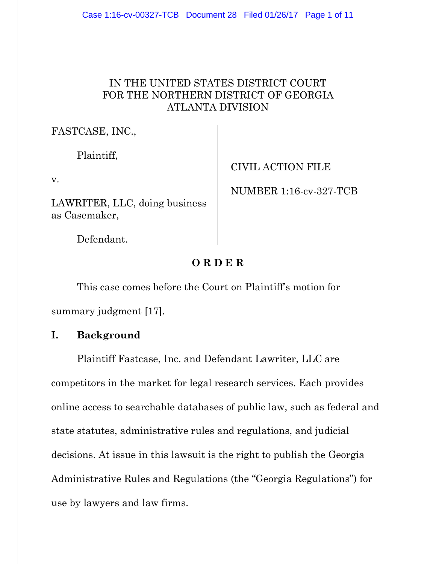## IN THE UNITED STATES DISTRICT COURT FOR THE NORTHERN DISTRICT OF GEORGIA ATLANTA DIVISION

FASTCASE, INC.,

Plaintiff,

v.

LAWRITER, LLC, doing business as Casemaker,

CIVIL ACTION FILE

NUMBER 1:16-cv-327-TCB

Defendant.

# **O R D E R**

This case comes before the Court on Plaintiff's motion for summary judgment [17].

# **I. Background**

Plaintiff Fastcase, Inc. and Defendant Lawriter, LLC are competitors in the market for legal research services. Each provides online access to searchable databases of public law, such as federal and state statutes, administrative rules and regulations, and judicial decisions. At issue in this lawsuit is the right to publish the Georgia Administrative Rules and Regulations (the "Georgia Regulations") for use by lawyers and law firms.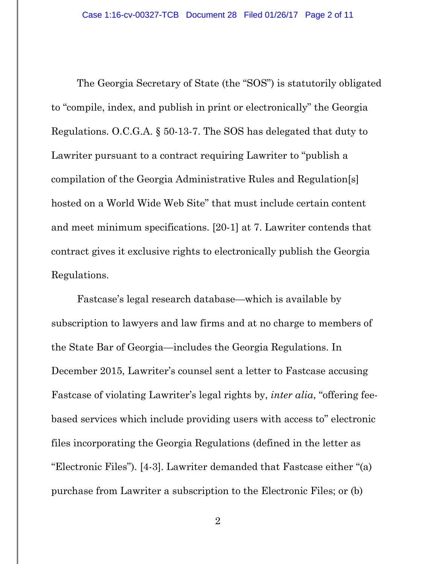The Georgia Secretary of State (the "SOS") is statutorily obligated to "compile, index, and publish in print or electronically" the Georgia Regulations. O.C.G.A. § 50-13-7. The SOS has delegated that duty to Lawriter pursuant to a contract requiring Lawriter to "publish a compilation of the Georgia Administrative Rules and Regulation[s] hosted on a World Wide Web Site" that must include certain content and meet minimum specifications. [20-1] at 7. Lawriter contends that contract gives it exclusive rights to electronically publish the Georgia Regulations.

Fastcase's legal research database—which is available by subscription to lawyers and law firms and at no charge to members of the State Bar of Georgia—includes the Georgia Regulations. In December 2015, Lawriter's counsel sent a letter to Fastcase accusing Fastcase of violating Lawriter's legal rights by, *inter alia*, "offering feebased services which include providing users with access to" electronic files incorporating the Georgia Regulations (defined in the letter as "Electronic Files"). [4-3]. Lawriter demanded that Fastcase either "(a) purchase from Lawriter a subscription to the Electronic Files; or (b)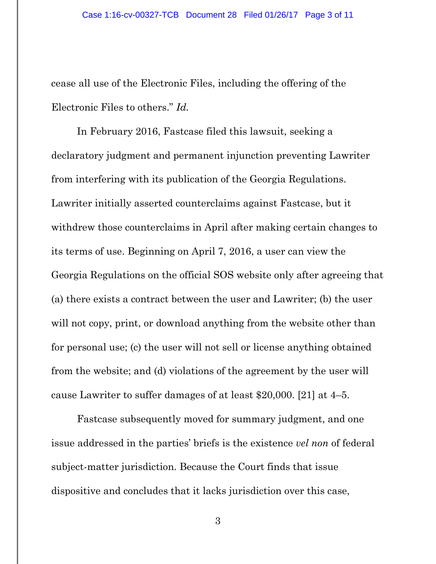cease all use of the Electronic Files, including the offering of the Electronic Files to others." *Id.*

In February 2016, Fastcase filed this lawsuit, seeking a declaratory judgment and permanent injunction preventing Lawriter from interfering with its publication of the Georgia Regulations. Lawriter initially asserted counterclaims against Fastcase, but it withdrew those counterclaims in April after making certain changes to its terms of use. Beginning on April 7, 2016, a user can view the Georgia Regulations on the official SOS website only after agreeing that (a) there exists a contract between the user and Lawriter; (b) the user will not copy, print, or download anything from the website other than for personal use; (c) the user will not sell or license anything obtained from the website; and (d) violations of the agreement by the user will cause Lawriter to suffer damages of at least \$20,000. [21] at 4–5.

Fastcase subsequently moved for summary judgment, and one issue addressed in the parties' briefs is the existence *vel non* of federal subject-matter jurisdiction. Because the Court finds that issue dispositive and concludes that it lacks jurisdiction over this case,

3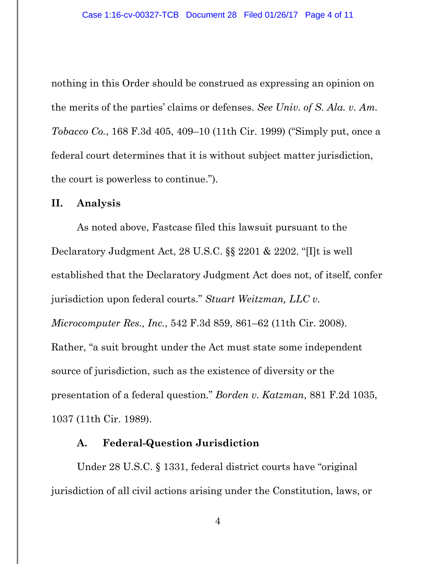nothing in this Order should be construed as expressing an opinion on the merits of the parties' claims or defenses. *See Univ. of S. Ala. v. Am. Tobacco Co.*, 168 F.3d 405, 409–10 (11th Cir. 1999) ("Simply put, once a federal court determines that it is without subject matter jurisdiction, the court is powerless to continue.").

#### **II. Analysis**

As noted above, Fastcase filed this lawsuit pursuant to the Declaratory Judgment Act, 28 U.S.C. §§ 2201 & 2202. "[I]t is well established that the Declaratory Judgment Act does not, of itself, confer jurisdiction upon federal courts." *Stuart Weitzman, LLC v. Microcomputer Res., Inc.*, 542 F.3d 859, 861–62 (11th Cir. 2008). Rather, "a suit brought under the Act must state some independent source of jurisdiction, such as the existence of diversity or the presentation of a federal question." *Borden v. Katzman*, 881 F.2d 1035, 1037 (11th Cir. 1989).

#### **A. Federal-Question Jurisdiction**

Under 28 U.S.C. § 1331, federal district courts have "original jurisdiction of all civil actions arising under the Constitution, laws, or

4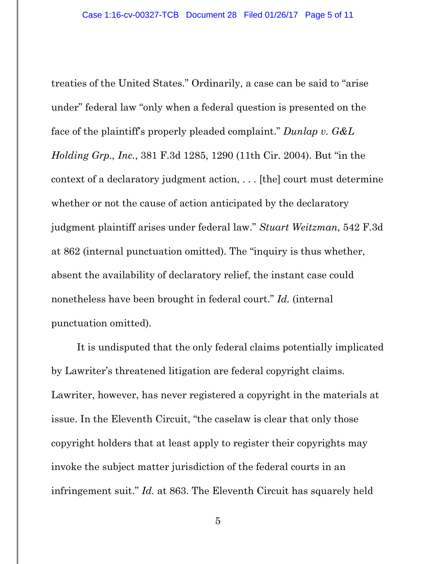treaties of the United States." Ordinarily, a case can be said to "arise under" federal law "only when a federal question is presented on the face of the plaintiff's properly pleaded complaint." *Dunlap v. G&L Holding Grp., Inc.*, 381 F.3d 1285, 1290 (11th Cir. 2004). But "in the context of a declaratory judgment action, . . . [the] court must determine whether or not the cause of action anticipated by the declaratory judgment plaintiff arises under federal law." *Stuart Weitzman*, 542 F.3d at 862 (internal punctuation omitted). The "inquiry is thus whether, absent the availability of declaratory relief, the instant case could nonetheless have been brought in federal court." *Id.* (internal punctuation omitted).

It is undisputed that the only federal claims potentially implicated by Lawriter's threatened litigation are federal copyright claims. Lawriter, however, has never registered a copyright in the materials at issue. In the Eleventh Circuit, "the caselaw is clear that only those copyright holders that at least apply to register their copyrights may invoke the subject matter jurisdiction of the federal courts in an infringement suit." *Id.* at 863. The Eleventh Circuit has squarely held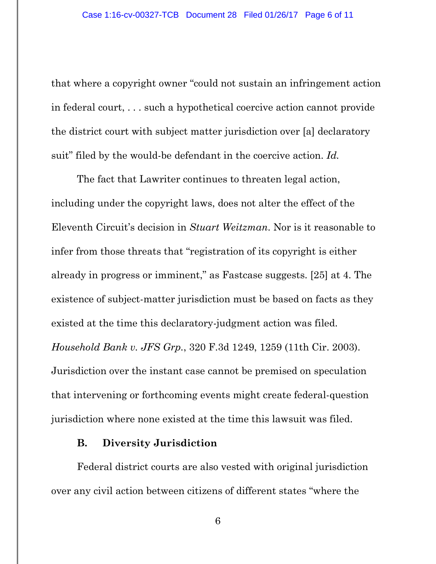that where a copyright owner "could not sustain an infringement action in federal court, . . . such a hypothetical coercive action cannot provide the district court with subject matter jurisdiction over [a] declaratory suit" filed by the would-be defendant in the coercive action. *Id.*

The fact that Lawriter continues to threaten legal action, including under the copyright laws, does not alter the effect of the Eleventh Circuit's decision in *Stuart Weitzman*. Nor is it reasonable to infer from those threats that "registration of its copyright is either already in progress or imminent," as Fastcase suggests. [25] at 4. The existence of subject-matter jurisdiction must be based on facts as they existed at the time this declaratory-judgment action was filed. *Household Bank v. JFS Grp.*, 320 F.3d 1249, 1259 (11th Cir. 2003). Jurisdiction over the instant case cannot be premised on speculation that intervening or forthcoming events might create federal-question jurisdiction where none existed at the time this lawsuit was filed.

#### **B. Diversity Jurisdiction**

Federal district courts are also vested with original jurisdiction over any civil action between citizens of different states "where the

6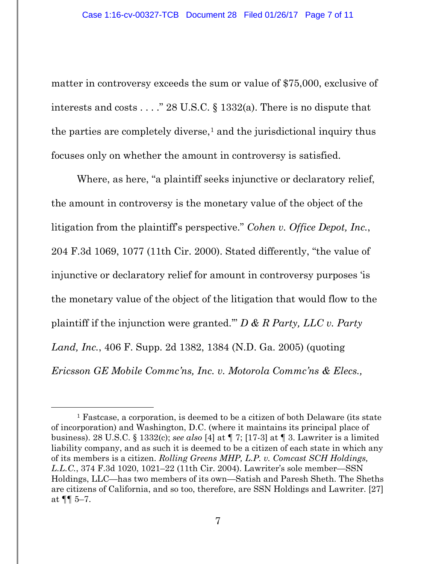matter in controversy exceeds the sum or value of \$75,000, exclusive of interests and costs . . . ." 28 U.S.C. § 1332(a). There is no dispute that the parties are completely diverse, $<sup>1</sup>$  $<sup>1</sup>$  $<sup>1</sup>$  and the jurisdictional inquiry thus</sup> focuses only on whether the amount in controversy is satisfied.

Where, as here, "a plaintiff seeks injunctive or declaratory relief, the amount in controversy is the monetary value of the object of the litigation from the plaintiff's perspective." *Cohen v. Office Depot, Inc.*, 204 F.3d 1069, 1077 (11th Cir. 2000). Stated differently, "the value of injunctive or declaratory relief for amount in controversy purposes 'is the monetary value of the object of the litigation that would flow to the plaintiff if the injunction were granted.'" *D & R Party, LLC v. Party Land, Inc.*, 406 F. Supp. 2d 1382, 1384 (N.D. Ga. 2005) (quoting *Ericsson GE Mobile Commc'ns, Inc. v. Motorola Commc'ns & Elecs.,* 

<span id="page-6-0"></span> <sup>1</sup> Fastcase, a corporation, is deemed to be a citizen of both Delaware (its state of incorporation) and Washington, D.C. (where it maintains its principal place of business). 28 U.S.C. § 1332(c); *see also* [4] at ¶ 7; [17-3] at ¶ 3. Lawriter is a limited liability company, and as such it is deemed to be a citizen of each state in which any of its members is a citizen. *Rolling Greens MHP, L.P. v. Comcast SCH Holdings, L.L.C.*, 374 F.3d 1020, 1021–22 (11th Cir. 2004). Lawriter's sole member—SSN Holdings, LLC—has two members of its own—Satish and Paresh Sheth. The Sheths are citizens of California, and so too, therefore, are SSN Holdings and Lawriter. [27] at  $\P\P$  5–7.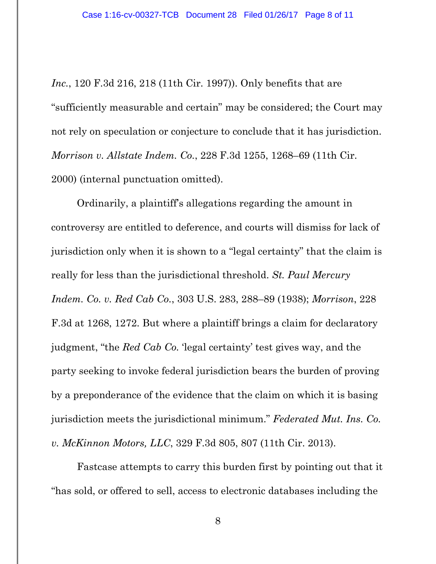*Inc.*, 120 F.3d 216, 218 (11th Cir. 1997)). Only benefits that are "sufficiently measurable and certain" may be considered; the Court may not rely on speculation or conjecture to conclude that it has jurisdiction. *Morrison v. Allstate Indem. Co.*, 228 F.3d 1255, 1268–69 (11th Cir. 2000) (internal punctuation omitted).

Ordinarily, a plaintiff's allegations regarding the amount in controversy are entitled to deference, and courts will dismiss for lack of jurisdiction only when it is shown to a "legal certainty" that the claim is really for less than the jurisdictional threshold. *St. Paul Mercury Indem. Co. v. Red Cab Co.*, 303 U.S. 283, 288–89 (1938); *Morrison*, 228 F.3d at 1268, 1272. But where a plaintiff brings a claim for declaratory judgment, "the *Red Cab Co*. 'legal certainty' test gives way, and the party seeking to invoke federal jurisdiction bears the burden of proving by a preponderance of the evidence that the claim on which it is basing jurisdiction meets the jurisdictional minimum." *Federated Mut. Ins. Co. v. McKinnon Motors, LLC*, 329 F.3d 805, 807 (11th Cir. 2013).

Fastcase attempts to carry this burden first by pointing out that it "has sold, or offered to sell, access to electronic databases including the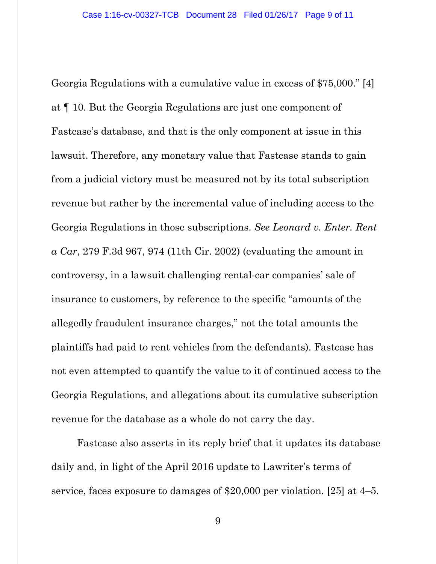Georgia Regulations with a cumulative value in excess of \$75,000." [4] at ¶ 10. But the Georgia Regulations are just one component of Fastcase's database, and that is the only component at issue in this lawsuit. Therefore, any monetary value that Fastcase stands to gain from a judicial victory must be measured not by its total subscription revenue but rather by the incremental value of including access to the Georgia Regulations in those subscriptions. *See Leonard v. Enter. Rent a Car*, 279 F.3d 967, 974 (11th Cir. 2002) (evaluating the amount in controversy, in a lawsuit challenging rental-car companies' sale of insurance to customers, by reference to the specific "amounts of the allegedly fraudulent insurance charges," not the total amounts the plaintiffs had paid to rent vehicles from the defendants). Fastcase has not even attempted to quantify the value to it of continued access to the Georgia Regulations, and allegations about its cumulative subscription revenue for the database as a whole do not carry the day.

Fastcase also asserts in its reply brief that it updates its database daily and, in light of the April 2016 update to Lawriter's terms of service, faces exposure to damages of \$20,000 per violation. [25] at 4–5.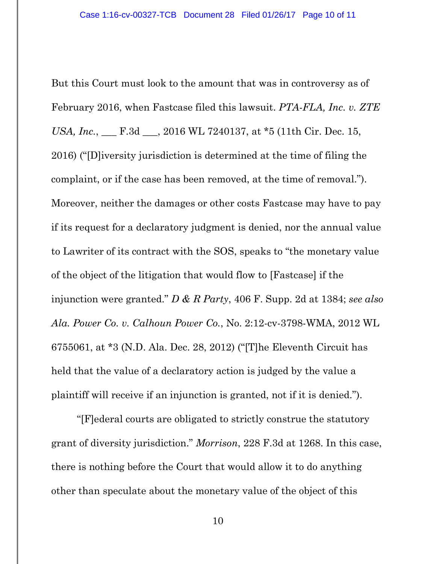But this Court must look to the amount that was in controversy as of February 2016, when Fastcase filed this lawsuit. *PTA-FLA, Inc. v. ZTE USA, Inc.*, \_\_\_ F.3d \_\_\_, 2016 WL 7240137, at \*5 (11th Cir. Dec. 15, 2016) ("[D]iversity jurisdiction is determined at the time of filing the complaint, or if the case has been removed, at the time of removal."). Moreover, neither the damages or other costs Fastcase may have to pay if its request for a declaratory judgment is denied, nor the annual value to Lawriter of its contract with the SOS, speaks to "the monetary value of the object of the litigation that would flow to [Fastcase] if the injunction were granted." *D & R Party*, 406 F. Supp. 2d at 1384; *see also Ala. Power Co. v. Calhoun Power Co.*, No. 2:12-cv-3798-WMA, 2012 WL 6755061, at \*3 (N.D. Ala. Dec. 28, 2012) ("[T]he Eleventh Circuit has held that the value of a declaratory action is judged by the value a plaintiff will receive if an injunction is granted, not if it is denied.").

"[F]ederal courts are obligated to strictly construe the statutory grant of diversity jurisdiction." *Morrison*, 228 F.3d at 1268. In this case, there is nothing before the Court that would allow it to do anything other than speculate about the monetary value of the object of this